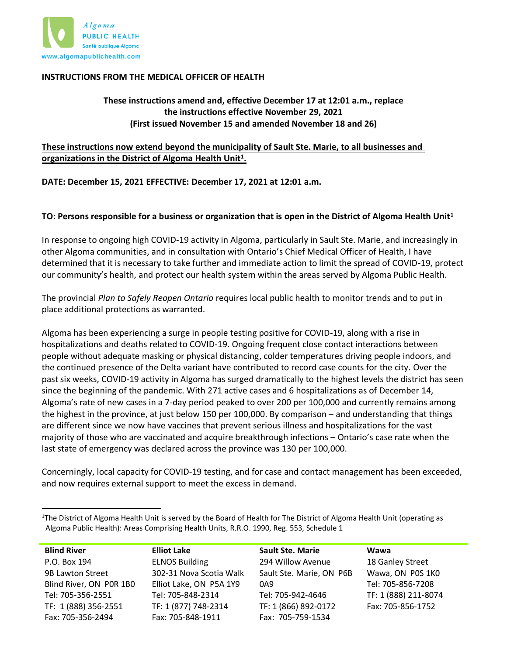

#### **INSTRUCTIONS FROM THE MEDICAL OFFICER OF HEALTH**

**These instructions amend and, effective December 17 at 12:01 a.m., replace the instructions effective November 29, 2021 (First issued November 15 and amended November 18 and 26)** 

## **These instructions now extend beyond the municipality of Sault Ste. Marie, to all businesses and organizations in the District of Algoma Health Unit<sup>1</sup> .**

**DATE: December 15, 2021 EFFECTIVE: December 17, 2021 at 12:01 a.m.**

#### **TO: Persons responsible for a business or organization that is open in the District of Algoma Health Unit<sup>1</sup>**

In response to ongoing high COVID-19 activity in Algoma, particularly in Sault Ste. Marie, and increasingly in other Algoma communities, and in consultation with Ontario's Chief Medical Officer of Health, I have determined that it is necessary to take further and immediate action to limit the spread of COVID-19, protect our community's health, and protect our health system within the areas served by Algoma Public Health.

The provincial *Plan to Safely Reopen Ontario* requires local public health to monitor trends and to put in place additional protections as warranted.

Algoma has been experiencing a surge in people testing positive for COVID-19, along with a rise in hospitalizations and deaths related to COVID-19. Ongoing frequent close contact interactions between people without adequate masking or physical distancing, colder temperatures driving people indoors, and the continued presence of the Delta variant have contributed to record case counts for the city. Over the past six weeks, COVID-19 activity in Algoma has surged dramatically to the highest levels the district has seen since the beginning of the pandemic. With 271 active cases and 6 hospitalizations as of December 14, Algoma's rate of new cases in a 7-day period peaked to over 200 per 100,000 and currently remains among the highest in the province, at just below 150 per 100,000. By comparison – and understanding that things are different since we now have vaccines that prevent serious illness and hospitalizations for the vast majority of those who are vaccinated and acquire breakthrough infections – Ontario's case rate when the last state of emergency was declared across the province was 130 per 100,000.

Concerningly, local capacity for COVID-19 testing, and for case and contact management has been exceeded, and now requires external support to meet the excess in demand.

**Blind River** P.O. Box 194 9B Lawton Street Blind River, ON P0R 1B0 Tel: 705-356-2551 TF: 1 (888) 356-2551 Fax: 705-356-2494

**Elliot Lake** ELNOS Building 302-31 Nova Scotia Walk Elliot Lake, ON P5A 1Y9 Tel: 705-848-2314 TF: 1 (877) 748-2314 Fax: 705-848-1911

**Sault Ste. Marie** 294 Willow Avenue Sault Ste. Marie, ON P6B 0A9 Tel: 705-942-4646 TF: 1 (866) 892-0172 Fax: 705-759-1534

**Wawa** 18 Ganley Street Wawa, ON P0S 1K0 Tel: 705-856-7208 TF: 1 (888) 211-8074 Fax: 705-856-1752

<sup>&</sup>lt;sup>1</sup>The District of Algoma Health Unit is served by the Board of Health for The District of Algoma Health Unit (operating as Algoma Public Health): Areas Comprising Health Units, R.R.O. 1990, Reg. 553, Schedule 1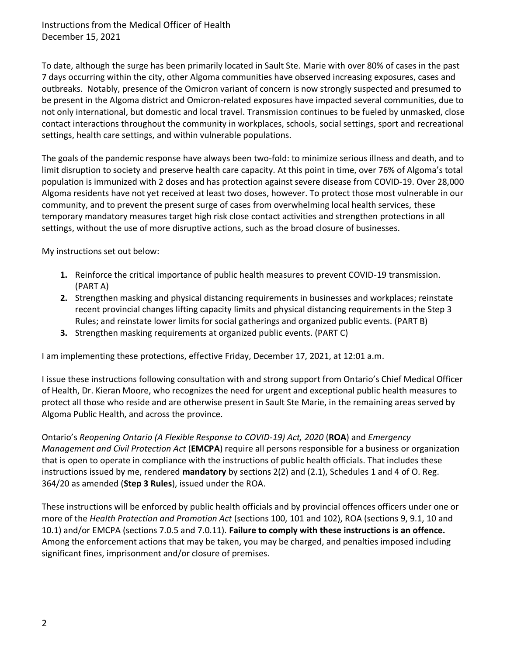To date, although the surge has been primarily located in Sault Ste. Marie with over 80% of cases in the past 7 days occurring within the city, other Algoma communities have observed increasing exposures, cases and outbreaks. Notably, presence of the Omicron variant of concern is now strongly suspected and presumed to be present in the Algoma district and Omicron-related exposures have impacted several communities, due to not only international, but domestic and local travel. Transmission continues to be fueled by unmasked, close contact interactions throughout the community in workplaces, schools, social settings, sport and recreational settings, health care settings, and within vulnerable populations.

The goals of the pandemic response have always been two-fold: to minimize serious illness and death, and to limit disruption to society and preserve health care capacity. At this point in time, over 76% of Algoma's total population is immunized with 2 doses and has protection against severe disease from COVID-19. Over 28,000 Algoma residents have not yet received at least two doses, however. To protect those most vulnerable in our community, and to prevent the present surge of cases from overwhelming local health services, these temporary mandatory measures target high risk close contact activities and strengthen protections in all settings, without the use of more disruptive actions, such as the broad closure of businesses.

My instructions set out below:

- **1.** Reinforce the critical importance of public health measures to prevent COVID-19 transmission. (PART A)
- **2.** Strengthen masking and physical distancing requirements in businesses and workplaces; reinstate recent provincial changes lifting capacity limits and physical distancing requirements in the Step 3 Rules; and reinstate lower limits for social gatherings and organized public events. (PART B)
- **3.** Strengthen masking requirements at organized public events. (PART C)

I am implementing these protections, effective Friday, December 17, 2021, at 12:01 a.m.

I issue these instructions following consultation with and strong support from Ontario's Chief Medical Officer of Health, Dr. Kieran Moore, who recognizes the need for urgent and exceptional public health measures to protect all those who reside and are otherwise present in Sault Ste Marie, in the remaining areas served by Algoma Public Health, and across the province.

Ontario's *Reopening Ontario (A Flexible Response to COVID-19) Act, 2020* (**ROA**) and *Emergency Management and Civil Protection Act* (**EMCPA**) require all persons responsible for a business or organization that is open to operate in compliance with the instructions of public health officials. That includes these instructions issued by me, rendered **mandatory** by sections 2(2) and (2.1), Schedules 1 and 4 of O. Reg. 364/20 as amended (**Step 3 Rules**), issued under the ROA.

These instructions will be enforced by public health officials and by provincial offences officers under one or more of the *Health Protection and Promotion Act* (sections 100, 101 and 102), ROA (sections 9, 9.1, 10 and 10.1) and/or EMCPA (sections 7.0.5 and 7.0.11). **Failure to comply with these instructions is an offence.**  Among the enforcement actions that may be taken, you may be charged, and penalties imposed including significant fines, imprisonment and/or closure of premises.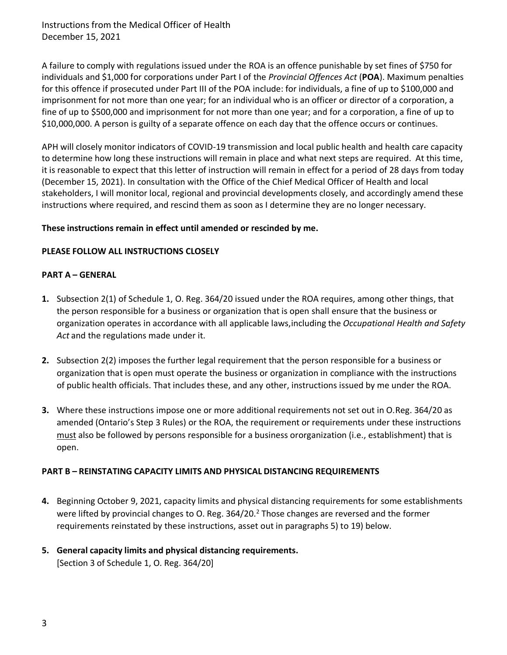A failure to comply with regulations issued under the ROA is an offence punishable by set fines of \$750 for individuals and \$1,000 for corporations under Part I of the *Provincial Offences Act* (**POA**). Maximum penalties for this offence if prosecuted under Part III of the POA include: for individuals, a fine of up to \$100,000 and imprisonment for not more than one year; for an individual who is an officer or director of a corporation, a fine of up to \$500,000 and imprisonment for not more than one year; and for a corporation, a fine of up to \$10,000,000. A person is guilty of a separate offence on each day that the offence occurs or continues.

APH will closely monitor indicators of COVID-19 transmission and local public health and health care capacity to determine how long these instructions will remain in place and what next steps are required. At this time, it is reasonable to expect that this letter of instruction will remain in effect for a period of 28 days from today (December 15, 2021). In consultation with the Office of the Chief Medical Officer of Health and local stakeholders, I will monitor local, regional and provincial developments closely, and accordingly amend these instructions where required, and rescind them as soon as I determine they are no longer necessary.

## **These instructions remain in effect until amended or rescinded by me.**

## **PLEASE FOLLOW ALL INSTRUCTIONS CLOSELY**

## **PART A – GENERAL**

- **1.** Subsection 2(1) of Schedule 1, O. Reg. 364/20 issued under the ROA requires, among other things, that the person responsible for a business or organization that is open shall ensure that the business or organization operates in accordance with all applicable laws,including the *Occupational Health and Safety Act* and the regulations made under it.
- **2.** Subsection 2(2) imposes the further legal requirement that the person responsible for a business or organization that is open must operate the business or organization in compliance with the instructions of public health officials. That includes these, and any other, instructions issued by me under the ROA.
- **3.** Where these instructions impose one or more additional requirements not set out in O.Reg. 364/20 as amended (Ontario's Step 3 Rules) or the ROA, the requirement or requirements under these instructions must also be followed by persons responsible for a business ororganization (i.e., establishment) that is open.

## **PART B – REINSTATING CAPACITY LIMITS AND PHYSICAL DISTANCING REQUIREMENTS**

- **4.** Beginning October 9, 2021, capacity limits and physical distancing requirements for some establishments were lifted by provincial changes to O. Reg. 364/[2](#page-3-0)0.<sup>2</sup> Those changes are reversed and the former requirements reinstated by these instructions, asset out in paragraphs 5) to 19) below.
- **5. General capacity limits and physical distancing requirements.** [Section 3 of Schedule 1, O. Reg. 364/20]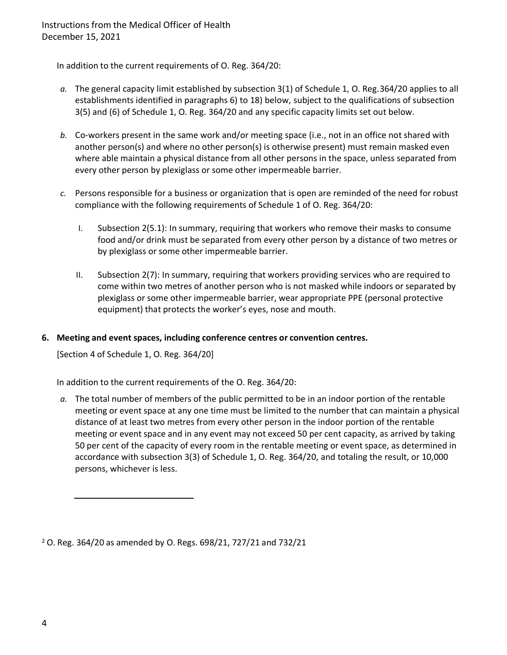In addition to the current requirements of O. Reg. 364/20:

- *a.* The general capacity limit established by subsection 3(1) of Schedule 1, O. Reg.364/20 applies to all establishments identified in paragraphs 6) to 18) below, subject to the qualifications of subsection 3(5) and (6) of Schedule 1, O. Reg. 364/20 and any specific capacity limits set out below.
- *b.* Co-workers present in the same work and/or meeting space (i.e., not in an office not shared with another person(s) and where no other person(s) is otherwise present) must remain masked even where able maintain a physical distance from all other persons in the space, unless separated from every other person by plexiglass or some other impermeable barrier.
- *c.* Persons responsible for a business or organization that is open are reminded of the need for robust compliance with the following requirements of Schedule 1 of O. Reg. 364/20:
	- I. Subsection 2(5.1): In summary, requiring that workers who remove their masks to consume food and/or drink must be separated from every other person by a distance of two metres or by plexiglass or some other impermeable barrier.
	- II. Subsection 2(7): In summary, requiring that workers providing services who are required to come within two metres of another person who is not masked while indoors or separated by plexiglass or some other impermeable barrier, wear appropriate PPE (personal protective equipment) that protects the worker's eyes, nose and mouth.

### **6. Meeting and event spaces, including conference centres or convention centres.**

[Section 4 of Schedule 1, O. Reg. 364/20]

In addition to the current requirements of the O. Reg. 364/20:

*a.* The total number of members of the public permitted to be in an indoor portion of the rentable meeting or event space at any one time must be limited to the number that can maintain a physical distance of at least two metres from every other person in the indoor portion of the rentable meeting or event space and in any event may not exceed 50 per cent capacity, as arrived by taking 50 per cent of the capacity of every room in the rentable meeting or event space, as determined in accordance with subsection 3(3) of Schedule 1, O. Reg. 364/20, and totaling the result, or 10,000 persons, whichever is less.

<span id="page-3-0"></span><sup>2</sup> O. Reg. 364/20 as amended by O. Regs. 698/21, 727/21 and 732/21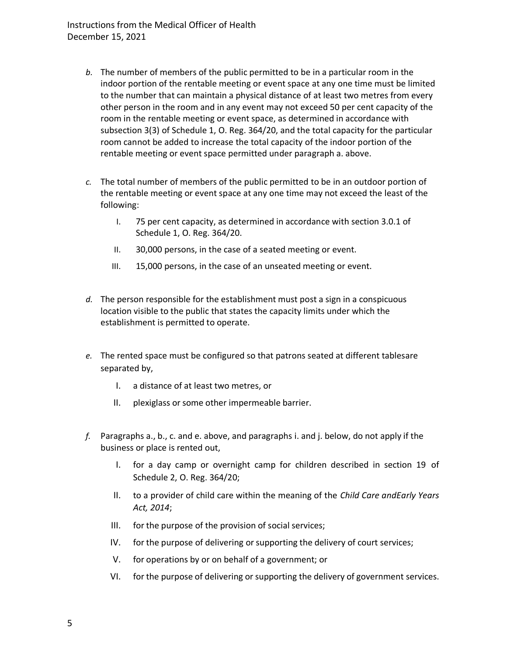- *b.* The number of members of the public permitted to be in a particular room in the indoor portion of the rentable meeting or event space at any one time must be limited to the number that can maintain a physical distance of at least two metres from every other person in the room and in any event may not exceed 50 per cent capacity of the room in the rentable meeting or event space, as determined in accordance with subsection 3(3) of Schedule 1, O. Reg. 364/20, and the total capacity for the particular room cannot be added to increase the total capacity of the indoor portion of the rentable meeting or event space permitted under paragraph a. above.
- *c.* The total number of members of the public permitted to be in an outdoor portion of the rentable meeting or event space at any one time may not exceed the least of the following:
	- I. 75 per cent capacity, as determined in accordance with section 3.0.1 of Schedule 1, O. Reg. 364/20.
	- II. 30,000 persons, in the case of a seated meeting or event.
	- III. 15,000 persons, in the case of an unseated meeting or event.
- *d.* The person responsible for the establishment must post a sign in a conspicuous location visible to the public that states the capacity limits under which the establishment is permitted to operate.
- *e.* The rented space must be configured so that patrons seated at different tablesare separated by,
	- I. a distance of at least two metres, or
	- II. plexiglass or some other impermeable barrier.
- *f.* Paragraphs a., b., c. and e. above, and paragraphs i. and j. below, do not apply if the business or place is rented out,
	- I. for a day camp or overnight camp for children described in section 19 of Schedule 2, O. Reg. 364/20;
	- II. to a provider of child care within the meaning of the *Child Care andEarly Years Act, 2014*;
	- III. for the purpose of the provision of social services;
	- IV. for the purpose of delivering or supporting the delivery of court services;
	- V. for operations by or on behalf of a government; or
	- VI. for the purpose of delivering or supporting the delivery of government services.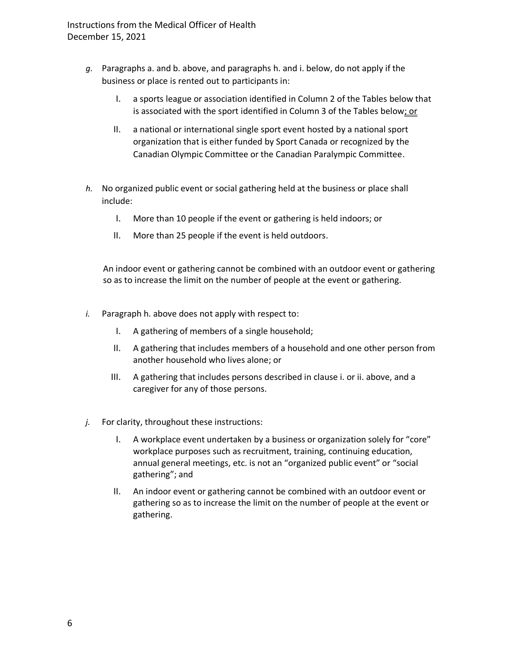- *g.* Paragraphs a. and b. above, and paragraphs h. and i. below, do not apply if the business or place is rented out to participants in:
	- I. a sports league or association identified in Column 2 of the Tables below that is associated with the sport identified in Column 3 of the Tables below; or
	- II. a national or international single sport event hosted by a national sport organization that is either funded by Sport Canada or recognized by the Canadian Olympic Committee or the Canadian Paralympic Committee.
- *h.* No organized public event or social gathering held at the business or place shall include:
	- I. More than 10 people if the event or gathering is held indoors; or
	- II. More than 25 people if the event is held outdoors.

An indoor event or gathering cannot be combined with an outdoor event or gathering so as to increase the limit on the number of people at the event or gathering.

- *i.* Paragraph h. above does not apply with respect to:
	- I. A gathering of members of a single household;
	- II. A gathering that includes members of a household and one other person from another household who lives alone; or
	- III. A gathering that includes persons described in clause i. or ii. above, and a caregiver for any of those persons.
- *j.* For clarity, throughout these instructions:
	- I. A workplace event undertaken by a business or organization solely for "core" workplace purposes such as recruitment, training, continuing education, annual general meetings, etc. is not an "organized public event" or "social gathering"; and
	- II. An indoor event or gathering cannot be combined with an outdoor event or gathering so as to increase the limit on the number of people at the event or gathering.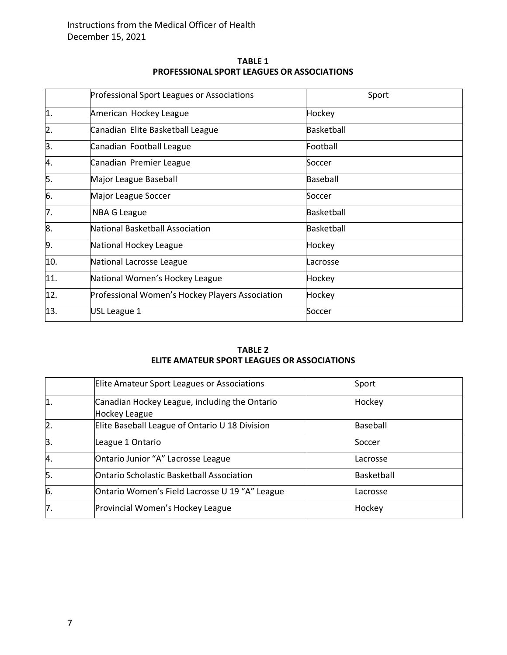| <b>TABLE 1</b>                             |
|--------------------------------------------|
| PROFESSIONAL SPORT LEAGUES OR ASSOCIATIONS |

|                  | Professional Sport Leagues or Associations      | Sport             |
|------------------|-------------------------------------------------|-------------------|
| 1.               | American Hockey League                          | Hockey            |
| $\overline{2}$ . | Canadian Elite Basketball League                | <b>Basketball</b> |
| 3.               | Canadian Football League                        | Football          |
| 4.               | Canadian Premier League                         | Soccer            |
| 5.               | Major League Baseball                           | Baseball          |
| 6.               | Major League Soccer                             | Soccer            |
| 7.               | <b>NBA G League</b>                             | Basketball        |
| 8.               | National Basketball Association                 | Basketball        |
| 9.               | National Hockey League                          | Hockey            |
| 10.              | National Lacrosse League                        | Lacrosse          |
| 11.              | National Women's Hockey League                  | Hockey            |
| 12.              | Professional Women's Hockey Players Association | Hockey            |
| 13.              | USL League 1                                    | Soccer            |

#### **TABLE 2 ELITE AMATEUR SPORT LEAGUES OR ASSOCIATIONS**

|                  | Elite Amateur Sport Leagues or Associations                           | Sport      |
|------------------|-----------------------------------------------------------------------|------------|
| 1.               | Canadian Hockey League, including the Ontario<br><b>Hockey League</b> | Hockey     |
| $\overline{2}$ . | Elite Baseball League of Ontario U 18 Division                        | Baseball   |
| 3.               | League 1 Ontario                                                      | Soccer     |
| 4.               | Ontario Junior "A" Lacrosse League                                    | Lacrosse   |
| 5.               | <b>Ontario Scholastic Basketball Association</b>                      | Basketball |
| 6.               | Ontario Women's Field Lacrosse U 19 "A" League                        | Lacrosse   |
| 7.               | Provincial Women's Hockey League                                      | Hockey     |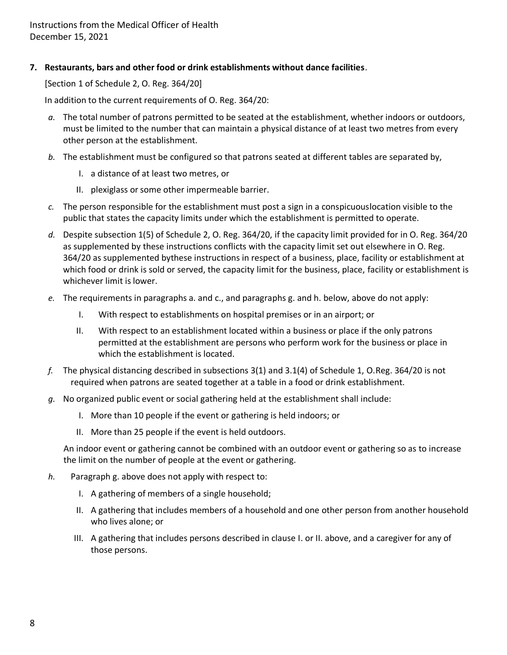**7. Restaurants, bars and other food or drink establishments without dance facilities**.

[Section 1 of Schedule 2, O. Reg. 364/20]

In addition to the current requirements of O. Reg. 364/20:

- *a.* The total number of patrons permitted to be seated at the establishment, whether indoors or outdoors, must be limited to the number that can maintain a physical distance of at least two metres from every other person at the establishment.
- *b.* The establishment must be configured so that patrons seated at different tables are separated by,
	- I. a distance of at least two metres, or
	- II. plexiglass or some other impermeable barrier.
- *c.* The person responsible for the establishment must post a sign in a conspicuouslocation visible to the public that states the capacity limits under which the establishment is permitted to operate.
- *d.* Despite subsection 1(5) of Schedule 2, O. Reg. 364/20, if the capacity limit provided for in O. Reg. 364/20 as supplemented by these instructions conflicts with the capacity limit set out elsewhere in O. Reg. 364/20 as supplemented bythese instructions in respect of a business, place, facility or establishment at which food or drink is sold or served, the capacity limit for the business, place, facility or establishment is whichever limit is lower.
- *e.* The requirements in paragraphs a. and c., and paragraphs g. and h. below, above do not apply:
	- I. With respect to establishments on hospital premises or in an airport; or
	- II. With respect to an establishment located within a business or place if the only patrons permitted at the establishment are persons who perform work for the business or place in which the establishment is located.
- *f.* The physical distancing described in subsections 3(1) and 3.1(4) of Schedule 1, O.Reg. 364/20 is not required when patrons are seated together at a table in a food or drink establishment.
- *g.* No organized public event or social gathering held at the establishment shall include:
	- I. More than 10 people if the event or gathering is held indoors; or
	- II. More than 25 people if the event is held outdoors.

An indoor event or gathering cannot be combined with an outdoor event or gathering so as to increase the limit on the number of people at the event or gathering.

- *h.* Paragraph g. above does not apply with respect to:
	- I. A gathering of members of a single household;
	- II. A gathering that includes members of a household and one other person from another household who lives alone; or
	- III. A gathering that includes persons described in clause I. or II. above, and a caregiver for any of those persons.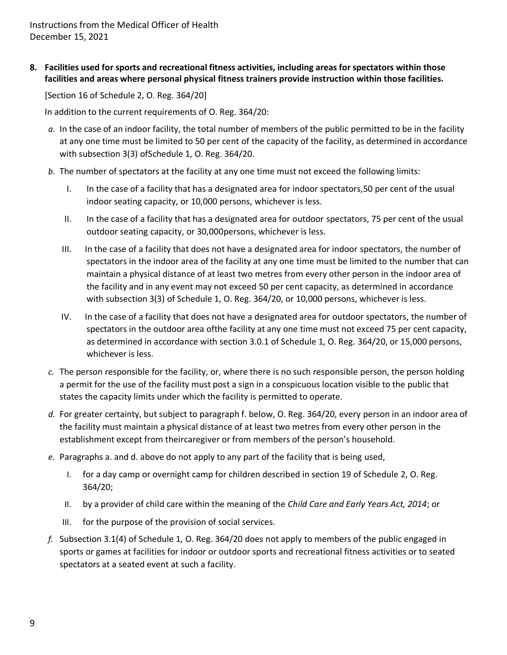**8. Facilities used for sports and recreational fitness activities, including areas for spectators within those facilities and areas where personal physical fitness trainers provide instruction within those facilities.**

[Section 16 of Schedule 2, O. Reg. 364/20]

- *a.* In the case of an indoor facility, the total number of members of the public permitted to be in the facility at any one time must be limited to 50 per cent of the capacity of the facility, as determined in accordance with subsection 3(3) ofSchedule 1, O. Reg. 364/20.
- *b.* The number of spectators at the facility at any one time must not exceed the following limits:
	- I. In the case of a facility that has a designated area for indoor spectators,50 per cent of the usual indoor seating capacity, or 10,000 persons, whichever is less.
	- II. In the case of a facility that has a designated area for outdoor spectators, 75 per cent of the usual outdoor seating capacity, or 30,000persons, whichever is less.
	- III. In the case of a facility that does not have a designated area for indoor spectators, the number of spectators in the indoor area of the facility at any one time must be limited to the number that can maintain a physical distance of at least two metres from every other person in the indoor area of the facility and in any event may not exceed 50 per cent capacity, as determined in accordance with subsection 3(3) of Schedule 1, O. Reg. 364/20, or 10,000 persons, whichever is less.
	- IV. In the case of a facility that does not have a designated area for outdoor spectators, the number of spectators in the outdoor area ofthe facility at any one time must not exceed 75 per cent capacity, as determined in accordance with section 3.0.1 of Schedule 1, O. Reg. 364/20, or 15,000 persons, whichever is less.
- *c.* The person responsible for the facility, or, where there is no such responsible person, the person holding a permit for the use of the facility must post a sign in a conspicuous location visible to the public that states the capacity limits under which the facility is permitted to operate.
- *d.* For greater certainty, but subject to paragraph f. below, O. Reg. 364/20, every person in an indoor area of the facility must maintain a physical distance of at least two metres from every other person in the establishment except from theircaregiver or from members of the person's household.
- *e.* Paragraphs a. and d. above do not apply to any part of the facility that is being used,
	- I. for a day camp or overnight camp for children described in section 19 of Schedule 2, O. Reg. 364/20;
	- II. by a provider of child care within the meaning of the *Child Care and Early Years Act, 2014*; or
	- III. for the purpose of the provision of social services.
- *f.* Subsection 3.1(4) of Schedule 1, O. Reg. 364/20 does not apply to members of the public engaged in sports or games at facilities for indoor or outdoor sports and recreational fitness activities or to seated spectators at a seated event at such a facility.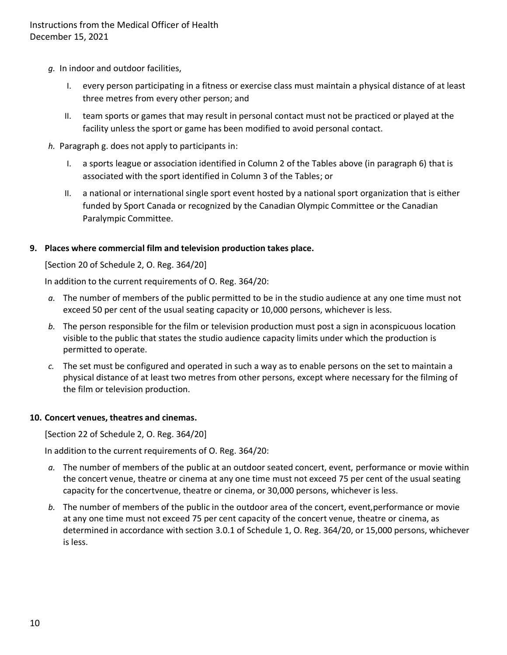- *g.* In indoor and outdoor facilities,
	- I. every person participating in a fitness or exercise class must maintain a physical distance of at least three metres from every other person; and
	- II. team sports or games that may result in personal contact must not be practiced or played at the facility unless the sport or game has been modified to avoid personal contact.
- *h.* Paragraph g. does not apply to participants in:
	- I. a sports league or association identified in Column 2 of the Tables above (in paragraph 6) that is associated with the sport identified in Column 3 of the Tables; or
	- II. a national or international single sport event hosted by a national sport organization that is either funded by Sport Canada or recognized by the Canadian Olympic Committee or the Canadian Paralympic Committee.

#### **9. Places where commercial film and television production takes place.**

[Section 20 of Schedule 2, O. Reg. 364/20]

In addition to the current requirements of O. Reg. 364/20:

- *a.* The number of members of the public permitted to be in the studio audience at any one time must not exceed 50 per cent of the usual seating capacity or 10,000 persons, whichever is less.
- *b.* The person responsible for the film or television production must post a sign in aconspicuous location visible to the public that states the studio audience capacity limits under which the production is permitted to operate.
- *c.* The set must be configured and operated in such a way as to enable persons on the set to maintain a physical distance of at least two metres from other persons, except where necessary for the filming of the film or television production.

#### **10. Concert venues, theatres and cinemas.**

[Section 22 of Schedule 2, O. Reg. 364/20]

- *a.* The number of members of the public at an outdoor seated concert, event, performance or movie within the concert venue, theatre or cinema at any one time must not exceed 75 per cent of the usual seating capacity for the concertvenue, theatre or cinema, or 30,000 persons, whichever is less.
- *b.* The number of members of the public in the outdoor area of the concert, event,performance or movie at any one time must not exceed 75 per cent capacity of the concert venue, theatre or cinema, as determined in accordance with section 3.0.1 of Schedule 1, O. Reg. 364/20, or 15,000 persons, whichever is less.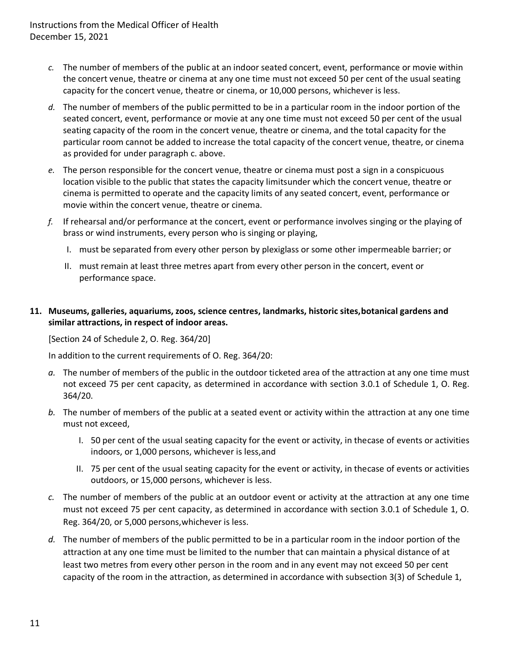- *c.* The number of members of the public at an indoor seated concert, event, performance or movie within the concert venue, theatre or cinema at any one time must not exceed 50 per cent of the usual seating capacity for the concert venue, theatre or cinema, or 10,000 persons, whichever is less.
- *d.* The number of members of the public permitted to be in a particular room in the indoor portion of the seated concert, event, performance or movie at any one time must not exceed 50 per cent of the usual seating capacity of the room in the concert venue, theatre or cinema, and the total capacity for the particular room cannot be added to increase the total capacity of the concert venue, theatre, or cinema as provided for under paragraph c. above.
- *e.* The person responsible for the concert venue, theatre or cinema must post a sign in a conspicuous location visible to the public that states the capacity limitsunder which the concert venue, theatre or cinema is permitted to operate and the capacity limits of any seated concert, event, performance or movie within the concert venue, theatre or cinema.
- *f.* If rehearsal and/or performance at the concert, event or performance involves singing or the playing of brass or wind instruments, every person who is singing or playing,
	- I. must be separated from every other person by plexiglass or some other impermeable barrier; or
	- II. must remain at least three metres apart from every other person in the concert, event or performance space.

# **11. Museums, galleries, aquariums, zoos, science centres, landmarks, historic sites,botanical gardens and similar attractions, in respect of indoor areas.**

[Section 24 of Schedule 2, O. Reg. 364/20]

- *a.* The number of members of the public in the outdoor ticketed area of the attraction at any one time must not exceed 75 per cent capacity, as determined in accordance with section 3.0.1 of Schedule 1, O. Reg. 364/20.
- *b.* The number of members of the public at a seated event or activity within the attraction at any one time must not exceed,
	- I. 50 per cent of the usual seating capacity for the event or activity, in thecase of events or activities indoors, or 1,000 persons, whichever is less,and
	- II. 75 per cent of the usual seating capacity for the event or activity, in thecase of events or activities outdoors, or 15,000 persons, whichever is less.
- *c.* The number of members of the public at an outdoor event or activity at the attraction at any one time must not exceed 75 per cent capacity, as determined in accordance with section 3.0.1 of Schedule 1, O. Reg. 364/20, or 5,000 persons,whichever is less.
- *d.* The number of members of the public permitted to be in a particular room in the indoor portion of the attraction at any one time must be limited to the number that can maintain a physical distance of at least two metres from every other person in the room and in any event may not exceed 50 per cent capacity of the room in the attraction, as determined in accordance with subsection 3(3) of Schedule 1,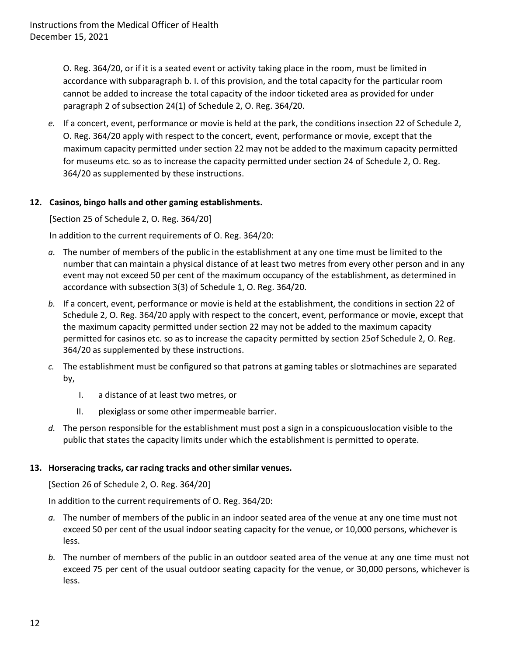O. Reg. 364/20, or if it is a seated event or activity taking place in the room, must be limited in accordance with subparagraph b. I. of this provision, and the total capacity for the particular room cannot be added to increase the total capacity of the indoor ticketed area as provided for under paragraph 2 of subsection 24(1) of Schedule 2, O. Reg. 364/20.

*e.* If a concert, event, performance or movie is held at the park, the conditions insection 22 of Schedule 2, O. Reg. 364/20 apply with respect to the concert, event, performance or movie, except that the maximum capacity permitted under section 22 may not be added to the maximum capacity permitted for museums etc. so as to increase the capacity permitted under section 24 of Schedule 2, O. Reg. 364/20 as supplemented by these instructions.

## **12. Casinos, bingo halls and other gaming establishments.**

[Section 25 of Schedule 2, O. Reg. 364/20]

In addition to the current requirements of O. Reg. 364/20:

- *a.* The number of members of the public in the establishment at any one time must be limited to the number that can maintain a physical distance of at least two metres from every other person and in any event may not exceed 50 per cent of the maximum occupancy of the establishment, as determined in accordance with subsection 3(3) of Schedule 1, O. Reg. 364/20.
- *b.* If a concert, event, performance or movie is held at the establishment, the conditions in section 22 of Schedule 2, O. Reg. 364/20 apply with respect to the concert, event, performance or movie, except that the maximum capacity permitted under section 22 may not be added to the maximum capacity permitted for casinos etc. so as to increase the capacity permitted by section 25of Schedule 2, O. Reg. 364/20 as supplemented by these instructions.
- *c.* The establishment must be configured so that patrons at gaming tables orslotmachines are separated by,
	- I. a distance of at least two metres, or
	- II. plexiglass or some other impermeable barrier.
- *d.* The person responsible for the establishment must post a sign in a conspicuouslocation visible to the public that states the capacity limits under which the establishment is permitted to operate.

## **13. Horseracing tracks, car racing tracks and othersimilar venues.**

[Section 26 of Schedule 2, O. Reg. 364/20]

- *a.* The number of members of the public in an indoor seated area of the venue at any one time must not exceed 50 per cent of the usual indoor seating capacity for the venue, or 10,000 persons, whichever is less.
- *b.* The number of members of the public in an outdoor seated area of the venue at any one time must not exceed 75 per cent of the usual outdoor seating capacity for the venue, or 30,000 persons, whichever is less.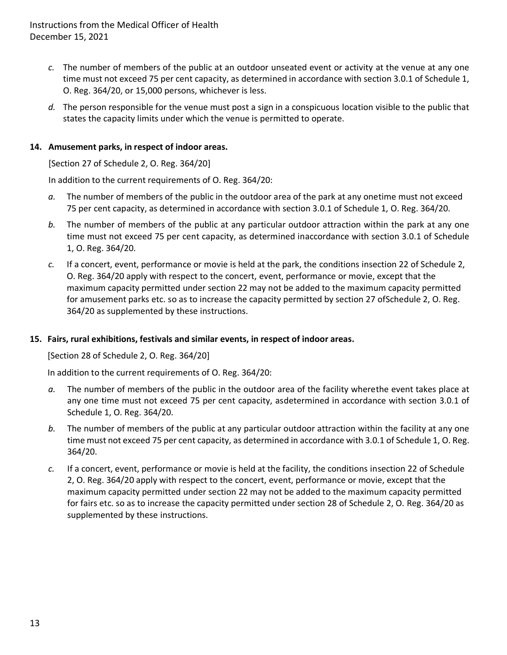- *c.* The number of members of the public at an outdoor unseated event or activity at the venue at any one time must not exceed 75 per cent capacity, as determined in accordance with section 3.0.1 of Schedule 1, O. Reg. 364/20, or 15,000 persons, whichever is less.
- *d.* The person responsible for the venue must post a sign in a conspicuous location visible to the public that states the capacity limits under which the venue is permitted to operate.

## **14. Amusement parks, in respect of indoor areas.**

[Section 27 of Schedule 2, O. Reg. 364/20]

In addition to the current requirements of O. Reg. 364/20:

- *a.* The number of members of the public in the outdoor area of the park at any onetime must not exceed 75 per cent capacity, as determined in accordance with section 3.0.1 of Schedule 1, O. Reg. 364/20.
- *b.* The number of members of the public at any particular outdoor attraction within the park at any one time must not exceed 75 per cent capacity, as determined inaccordance with section 3.0.1 of Schedule 1, O. Reg. 364/20.
- *c.* If a concert, event, performance or movie is held at the park, the conditions insection 22 of Schedule 2, O. Reg. 364/20 apply with respect to the concert, event, performance or movie, except that the maximum capacity permitted under section 22 may not be added to the maximum capacity permitted for amusement parks etc. so as to increase the capacity permitted by section 27 ofSchedule 2, O. Reg. 364/20 as supplemented by these instructions.

### **15. Fairs, rural exhibitions, festivals and similar events, in respect of indoor areas.**

[Section 28 of Schedule 2, O. Reg. 364/20]

- *a.* The number of members of the public in the outdoor area of the facility wherethe event takes place at any one time must not exceed 75 per cent capacity, asdetermined in accordance with section 3.0.1 of Schedule 1, O. Reg. 364/20.
- *b.* The number of members of the public at any particular outdoor attraction within the facility at any one time must not exceed 75 per cent capacity, as determined in accordance with 3.0.1 of Schedule 1, O. Reg. 364/20.
- *c.* If a concert, event, performance or movie is held at the facility, the conditions insection 22 of Schedule 2, O. Reg. 364/20 apply with respect to the concert, event, performance or movie, except that the maximum capacity permitted under section 22 may not be added to the maximum capacity permitted for fairs etc. so as to increase the capacity permitted under section 28 of Schedule 2, O. Reg. 364/20 as supplemented by these instructions.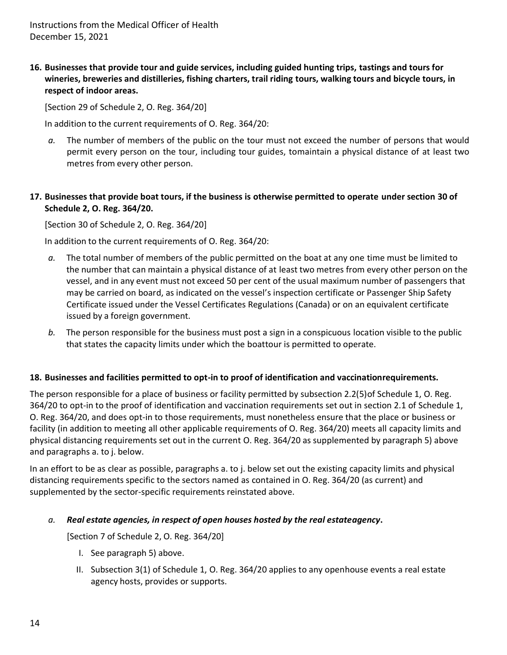**16. Businesses that provide tour and guide services, including guided hunting trips, tastings and tours for wineries, breweries and distilleries, fishing charters, trail riding tours, walking tours and bicycle tours, in respect of indoor areas.**

[Section 29 of Schedule 2, O. Reg. 364/20]

In addition to the current requirements of O. Reg. 364/20:

*a.* The number of members of the public on the tour must not exceed the number of persons that would permit every person on the tour, including tour guides, tomaintain a physical distance of at least two metres from every other person.

## **17. Businesses that provide boat tours, if the business is otherwise permitted to operate under section 30 of Schedule 2, O. Reg. 364/20.**

[Section 30 of Schedule 2, O. Reg. 364/20]

In addition to the current requirements of O. Reg. 364/20:

- *a.* The total number of members of the public permitted on the boat at any one time must be limited to the number that can maintain a physical distance of at least two metres from every other person on the vessel, and in any event must not exceed 50 per cent of the usual maximum number of passengers that may be carried on board, as indicated on the vessel's inspection certificate or Passenger Ship Safety Certificate issued under the Vessel Certificates Regulations (Canada) or on an equivalent certificate issued by a foreign government.
- *b.* The person responsible for the business must post a sign in a conspicuous location visible to the public that states the capacity limits under which the boattour is permitted to operate.

### **18. Businesses and facilities permitted to opt-in to proof of identification and vaccinationrequirements.**

The person responsible for a place of business or facility permitted by subsection 2.2(5)of Schedule 1, O. Reg. 364/20 to opt-in to the proof of identification and vaccination requirements set out in section 2.1 of Schedule 1, O. Reg. 364/20, and does opt-in to those requirements, must nonetheless ensure that the place or business or facility (in addition to meeting all other applicable requirements of O. Reg. 364/20) meets all capacity limits and physical distancing requirements set out in the current O. Reg. 364/20 as supplemented by paragraph 5) above and paragraphs a. to j. below.

In an effort to be as clear as possible, paragraphs a. to j. below set out the existing capacity limits and physical distancing requirements specific to the sectors named as contained in O. Reg. 364/20 (as current) and supplemented by the sector-specific requirements reinstated above.

### *a. Real estate agencies, in respect of open houses hosted by the real estateagency***.**

[Section 7 of Schedule 2, O. Reg. 364/20]

- I. See paragraph 5) above.
- II. Subsection 3(1) of Schedule 1, O. Reg. 364/20 applies to any openhouse events a real estate agency hosts, provides or supports.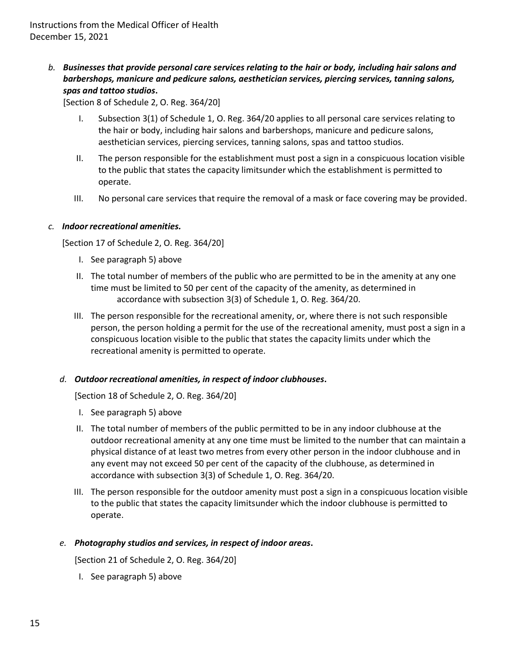*b. Businesses that provide personal care services relating to the hair or body, including hair salons and barbershops, manicure and pedicure salons, aesthetician services, piercing services, tanning salons, spas and tattoo studios***.**

[Section 8 of Schedule 2, O. Reg. 364/20]

- I. Subsection 3(1) of Schedule 1, O. Reg. 364/20 applies to all personal care services relating to the hair or body, including hair salons and barbershops, manicure and pedicure salons, aesthetician services, piercing services, tanning salons, spas and tattoo studios.
- II. The person responsible for the establishment must post a sign in a conspicuous location visible to the public that states the capacity limitsunder which the establishment is permitted to operate.
- III. No personal care services that require the removal of a mask or face covering may be provided.

### *c. Indoorrecreational amenities.*

[Section 17 of Schedule 2, O. Reg. 364/20]

- I. See paragraph 5) above
- II. The total number of members of the public who are permitted to be in the amenity at any one time must be limited to 50 per cent of the capacity of the amenity, as determined in accordance with subsection 3(3) of Schedule 1, O. Reg. 364/20.
- III. The person responsible for the recreational amenity, or, where there is not such responsible person, the person holding a permit for the use of the recreational amenity, must post a sign in a conspicuous location visible to the public that states the capacity limits under which the recreational amenity is permitted to operate.

### *d. Outdoor recreational amenities, in respect of indoor clubhouses***.**

[Section 18 of Schedule 2, O. Reg. 364/20]

- I. See paragraph 5) above
- II. The total number of members of the public permitted to be in any indoor clubhouse at the outdoor recreational amenity at any one time must be limited to the number that can maintain a physical distance of at least two metres from every other person in the indoor clubhouse and in any event may not exceed 50 per cent of the capacity of the clubhouse, as determined in accordance with subsection 3(3) of Schedule 1, O. Reg. 364/20.
- III. The person responsible for the outdoor amenity must post a sign in a conspicuous location visible to the public that states the capacity limitsunder which the indoor clubhouse is permitted to operate.

## *e. Photography studios and services, in respect of indoor areas***.**

[Section 21 of Schedule 2, O. Reg. 364/20]

I. See paragraph 5) above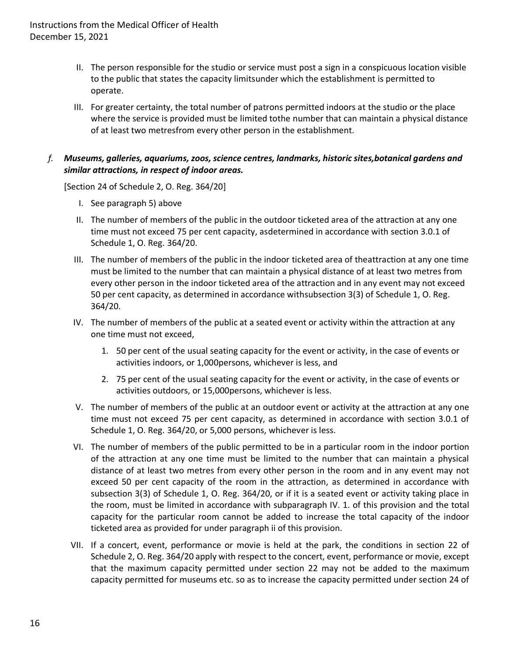- II. The person responsible for the studio or service must post a sign in a conspicuous location visible to the public that states the capacity limitsunder which the establishment is permitted to operate.
- III. For greater certainty, the total number of patrons permitted indoors at the studio or the place where the service is provided must be limited tothe number that can maintain a physical distance of at least two metresfrom every other person in the establishment.

## *f. Museums, galleries, aquariums, zoos, science centres, landmarks, historic sites,botanical gardens and similar attractions, in respect of indoor areas.*

[Section 24 of Schedule 2, O. Reg. 364/20]

- I. See paragraph 5) above
- II. The number of members of the public in the outdoor ticketed area of the attraction at any one time must not exceed 75 per cent capacity, asdetermined in accordance with section 3.0.1 of Schedule 1, O. Reg. 364/20.
- III. The number of members of the public in the indoor ticketed area of theattraction at any one time must be limited to the number that can maintain a physical distance of at least two metres from every other person in the indoor ticketed area of the attraction and in any event may not exceed 50 per cent capacity, as determined in accordance withsubsection 3(3) of Schedule 1, O. Reg. 364/20.
- IV. The number of members of the public at a seated event or activity within the attraction at any one time must not exceed,
	- 1. 50 per cent of the usual seating capacity for the event or activity, in the case of events or activities indoors, or 1,000persons, whichever is less, and
	- 2. 75 per cent of the usual seating capacity for the event or activity, in the case of events or activities outdoors, or 15,000persons, whichever is less.
- V. The number of members of the public at an outdoor event or activity at the attraction at any one time must not exceed 75 per cent capacity, as determined in accordance with section 3.0.1 of Schedule 1, O. Reg. 364/20, or 5,000 persons, whichever is less.
- VI. The number of members of the public permitted to be in a particular room in the indoor portion of the attraction at any one time must be limited to the number that can maintain a physical distance of at least two metres from every other person in the room and in any event may not exceed 50 per cent capacity of the room in the attraction, as determined in accordance with subsection 3(3) of Schedule 1, O. Reg. 364/20, or if it is a seated event or activity taking place in the room, must be limited in accordance with subparagraph IV. 1. of this provision and the total capacity for the particular room cannot be added to increase the total capacity of the indoor ticketed area as provided for under paragraph ii of this provision.
- VII. If a concert, event, performance or movie is held at the park, the conditions in section 22 of Schedule 2, O. Reg. 364/20 apply with respect to the concert, event, performance or movie, except that the maximum capacity permitted under section 22 may not be added to the maximum capacity permitted for museums etc. so as to increase the capacity permitted under section 24 of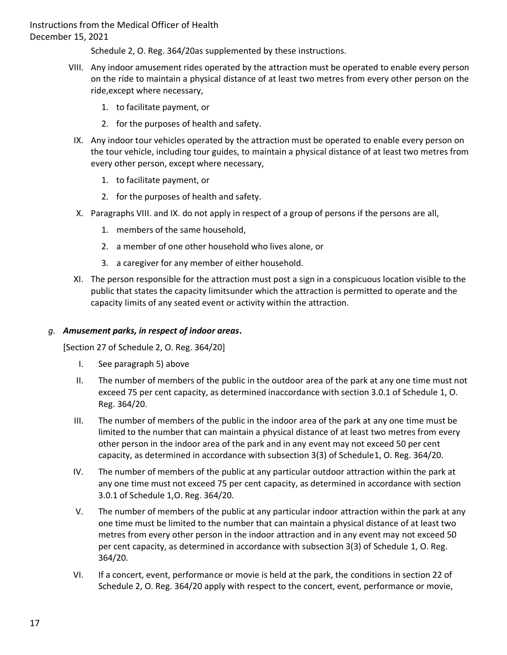Schedule 2, O. Reg. 364/20as supplemented by these instructions.

- VIII. Any indoor amusement rides operated by the attraction must be operated to enable every person on the ride to maintain a physical distance of at least two metres from every other person on the ride,except where necessary,
	- 1. to facilitate payment, or
	- 2. for the purposes of health and safety.
	- IX. Any indoor tour vehicles operated by the attraction must be operated to enable every person on the tour vehicle, including tour guides, to maintain a physical distance of at least two metres from every other person, except where necessary,
		- 1. to facilitate payment, or
		- 2. for the purposes of health and safety.
	- X. Paragraphs VIII. and IX. do not apply in respect of a group of persons if the persons are all,
		- 1. members of the same household,
		- 2. a member of one other household who lives alone, or
		- 3. a caregiver for any member of either household.
- XI. The person responsible for the attraction must post a sign in a conspicuous location visible to the public that states the capacity limitsunder which the attraction is permitted to operate and the capacity limits of any seated event or activity within the attraction.

#### *g. Amusement parks, in respect of indoor areas***.**

[Section 27 of Schedule 2, O. Reg. 364/20]

- I. See paragraph 5) above
- II. The number of members of the public in the outdoor area of the park at any one time must not exceed 75 per cent capacity, as determined inaccordance with section 3.0.1 of Schedule 1, O. Reg. 364/20.
- III. The number of members of the public in the indoor area of the park at any one time must be limited to the number that can maintain a physical distance of at least two metres from every other person in the indoor area of the park and in any event may not exceed 50 per cent capacity, as determined in accordance with subsection 3(3) of Schedule1, O. Reg. 364/20.
- IV. The number of members of the public at any particular outdoor attraction within the park at any one time must not exceed 75 per cent capacity, as determined in accordance with section 3.0.1 of Schedule 1,O. Reg. 364/20.
- V. The number of members of the public at any particular indoor attraction within the park at any one time must be limited to the number that can maintain a physical distance of at least two metres from every other person in the indoor attraction and in any event may not exceed 50 per cent capacity, as determined in accordance with subsection 3(3) of Schedule 1, O. Reg. 364/20.
- VI. If a concert, event, performance or movie is held at the park, the conditions in section 22 of Schedule 2, O. Reg. 364/20 apply with respect to the concert, event, performance or movie,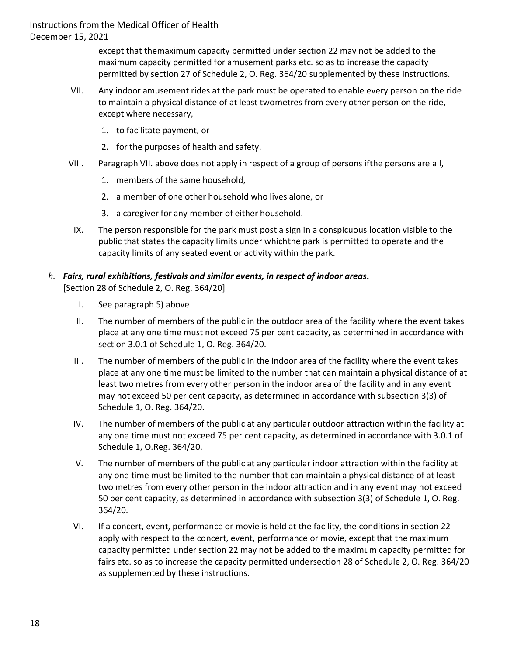> except that themaximum capacity permitted under section 22 may not be added to the maximum capacity permitted for amusement parks etc. so as to increase the capacity permitted by section 27 of Schedule 2, O. Reg. 364/20 supplemented by these instructions.

- VII. Any indoor amusement rides at the park must be operated to enable every person on the ride to maintain a physical distance of at least twometres from every other person on the ride, except where necessary,
	- 1. to facilitate payment, or
	- 2. for the purposes of health and safety.
- VIII. Paragraph VII. above does not apply in respect of a group of persons ifthe persons are all,
	- 1. members of the same household,
	- 2. a member of one other household who lives alone, or
	- 3. a caregiver for any member of either household.
	- IX. The person responsible for the park must post a sign in a conspicuous location visible to the public that states the capacity limits under whichthe park is permitted to operate and the capacity limits of any seated event or activity within the park.

# *h. Fairs, rural exhibitions, festivals and similar events, in respect of indoor areas***.**

[Section 28 of Schedule 2, O. Reg. 364/20]

- I. See paragraph 5) above
- II. The number of members of the public in the outdoor area of the facility where the event takes place at any one time must not exceed 75 per cent capacity, as determined in accordance with section 3.0.1 of Schedule 1, O. Reg. 364/20.
- III. The number of members of the public in the indoor area of the facility where the event takes place at any one time must be limited to the number that can maintain a physical distance of at least two metres from every other person in the indoor area of the facility and in any event may not exceed 50 per cent capacity, as determined in accordance with subsection 3(3) of Schedule 1, O. Reg. 364/20.
- IV. The number of members of the public at any particular outdoor attraction within the facility at any one time must not exceed 75 per cent capacity, as determined in accordance with 3.0.1 of Schedule 1, O.Reg. 364/20.
- V. The number of members of the public at any particular indoor attraction within the facility at any one time must be limited to the number that can maintain a physical distance of at least two metres from every other person in the indoor attraction and in any event may not exceed 50 per cent capacity, as determined in accordance with subsection 3(3) of Schedule 1, O. Reg. 364/20.
- VI. If a concert, event, performance or movie is held at the facility, the conditions in section 22 apply with respect to the concert, event, performance or movie, except that the maximum capacity permitted under section 22 may not be added to the maximum capacity permitted for fairs etc. so as to increase the capacity permitted undersection 28 of Schedule 2, O. Reg. 364/20 as supplemented by these instructions.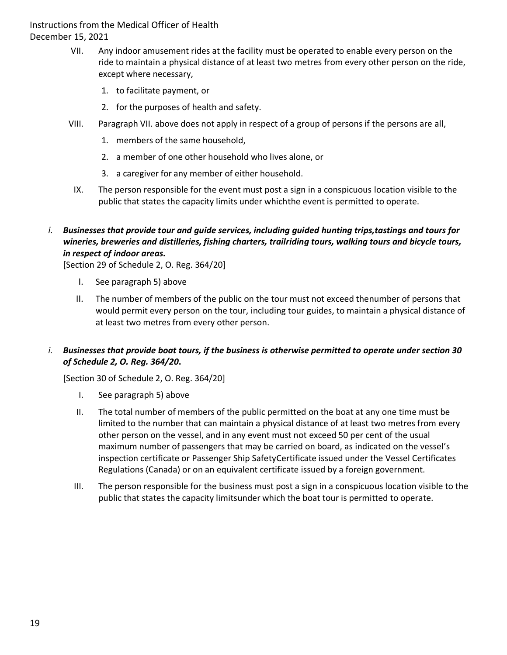- VII. Any indoor amusement rides at the facility must be operated to enable every person on the ride to maintain a physical distance of at least two metres from every other person on the ride, except where necessary,
	- 1. to facilitate payment, or
	- 2. for the purposes of health and safety.
- VIII. Paragraph VII. above does not apply in respect of a group of persons if the persons are all,
	- 1. members of the same household,
	- 2. a member of one other household who lives alone, or
	- 3. a caregiver for any member of either household.
- IX. The person responsible for the event must post a sign in a conspicuous location visible to the public that states the capacity limits under whichthe event is permitted to operate.
- *i. Businesses that provide tour and guide services, including guided hunting trips,tastings and tours for wineries, breweries and distilleries, fishing charters, trailriding tours, walking tours and bicycle tours, in respect of indoor areas.*

[Section 29 of Schedule 2, O. Reg. 364/20]

- I. See paragraph 5) above
- II. The number of members of the public on the tour must not exceed thenumber of persons that would permit every person on the tour, including tour guides, to maintain a physical distance of at least two metres from every other person.

# *i. Businesses that provide boat tours, if the business is otherwise permitted to operate under section 30 of Schedule 2, O. Reg. 364/20***.**

[Section 30 of Schedule 2, O. Reg. 364/20]

- I. See paragraph 5) above
- II. The total number of members of the public permitted on the boat at any one time must be limited to the number that can maintain a physical distance of at least two metres from every other person on the vessel, and in any event must not exceed 50 per cent of the usual maximum number of passengers that may be carried on board, as indicated on the vessel's inspection certificate or Passenger Ship SafetyCertificate issued under the Vessel Certificates Regulations (Canada) or on an equivalent certificate issued by a foreign government.
- III. The person responsible for the business must post a sign in a conspicuous location visible to the public that states the capacity limitsunder which the boat tour is permitted to operate.